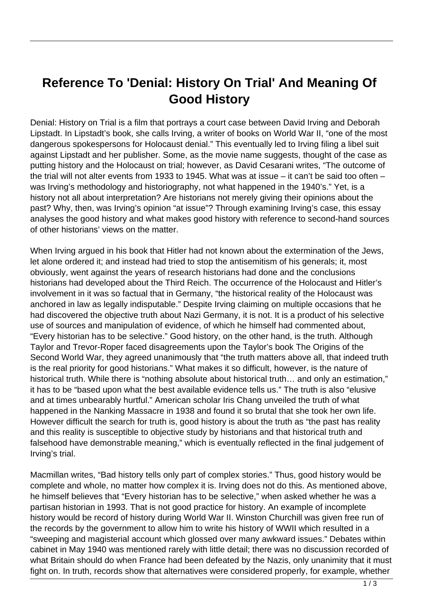## **Reference To 'Denial: History On Trial' And Meaning Of Good History**

Denial: History on Trial is a film that portrays a court case between David Irving and Deborah Lipstadt. In Lipstadt's book, she calls Irving, a writer of books on World War II, "one of the most dangerous spokespersons for Holocaust denial." This eventually led to Irving filing a libel suit against Lipstadt and her publisher. Some, as the movie name suggests, thought of the case as putting history and the Holocaust on trial; however, as David Cesarani writes, "The outcome of the trial will not alter events from 1933 to 1945. What was at issue – it can't be said too often – was Irving's methodology and historiography, not what happened in the 1940's." Yet, is a history not all about interpretation? Are historians not merely giving their opinions about the past? Why, then, was Irving's opinion "at issue"? Through examining Irving's case, this essay analyses the good history and what makes good history with reference to second-hand sources of other historians' views on the matter.

When Irving argued in his book that Hitler had not known about the extermination of the Jews, let alone ordered it; and instead had tried to stop the antisemitism of his generals; it, most obviously, went against the years of research historians had done and the conclusions historians had developed about the Third Reich. The occurrence of the Holocaust and Hitler's involvement in it was so factual that in Germany, "the historical reality of the Holocaust was anchored in law as legally indisputable." Despite Irving claiming on multiple occasions that he had discovered the objective truth about Nazi Germany, it is not. It is a product of his selective use of sources and manipulation of evidence, of which he himself had commented about, "Every historian has to be selective." Good history, on the other hand, is the truth. Although Taylor and Trevor-Roper faced disagreements upon the Taylor's book The Origins of the Second World War, they agreed unanimously that "the truth matters above all, that indeed truth is the real priority for good historians." What makes it so difficult, however, is the nature of historical truth. While there is "nothing absolute about historical truth... and only an estimation," it has to be "based upon what the best available evidence tells us." The truth is also "elusive and at times unbearably hurtful." American scholar Iris Chang unveiled the truth of what happened in the Nanking Massacre in 1938 and found it so brutal that she took her own life. However difficult the search for truth is, good history is about the truth as "the past has reality and this reality is susceptible to objective study by historians and that historical truth and falsehood have demonstrable meaning," which is eventually reflected in the final judgement of Irving's trial.

Macmillan writes, "Bad history tells only part of complex stories." Thus, good history would be complete and whole, no matter how complex it is. Irving does not do this. As mentioned above, he himself believes that "Every historian has to be selective," when asked whether he was a partisan historian in 1993. That is not good practice for history. An example of incomplete history would be record of history during World War II. Winston Churchill was given free run of the records by the government to allow him to write his history of WWII which resulted in a "sweeping and magisterial account which glossed over many awkward issues." Debates within cabinet in May 1940 was mentioned rarely with little detail; there was no discussion recorded of what Britain should do when France had been defeated by the Nazis, only unanimity that it must fight on. In truth, records show that alternatives were considered properly, for example, whether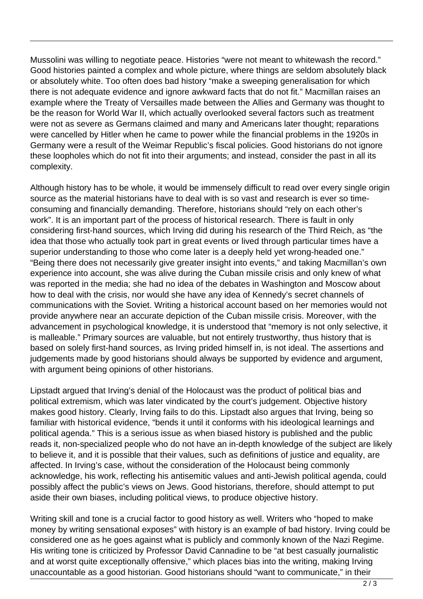Mussolini was willing to negotiate peace. Histories "were not meant to whitewash the record." Good histories painted a complex and whole picture, where things are seldom absolutely black or absolutely white. Too often does bad history "make a sweeping generalisation for which there is not adequate evidence and ignore awkward facts that do not fit." Macmillan raises an example where the Treaty of Versailles made between the Allies and Germany was thought to be the reason for World War II, which actually overlooked several factors such as treatment were not as severe as Germans claimed and many and Americans later thought; reparations were cancelled by Hitler when he came to power while the financial problems in the 1920s in Germany were a result of the Weimar Republic's fiscal policies. Good historians do not ignore these loopholes which do not fit into their arguments; and instead, consider the past in all its complexity.

Although history has to be whole, it would be immensely difficult to read over every single origin source as the material historians have to deal with is so vast and research is ever so timeconsuming and financially demanding. Therefore, historians should "rely on each other's work". It is an important part of the process of historical research. There is fault in only considering first-hand sources, which Irving did during his research of the Third Reich, as "the idea that those who actually took part in great events or lived through particular times have a superior understanding to those who come later is a deeply held yet wrong-headed one." "Being there does not necessarily give greater insight into events," and taking Macmillan's own experience into account, she was alive during the Cuban missile crisis and only knew of what was reported in the media; she had no idea of the debates in Washington and Moscow about how to deal with the crisis, nor would she have any idea of Kennedy's secret channels of communications with the Soviet. Writing a historical account based on her memories would not provide anywhere near an accurate depiction of the Cuban missile crisis. Moreover, with the advancement in psychological knowledge, it is understood that "memory is not only selective, it is malleable." Primary sources are valuable, but not entirely trustworthy, thus history that is based on solely first-hand sources, as Irving prided himself in, is not ideal. The assertions and judgements made by good historians should always be supported by evidence and argument, with argument being opinions of other historians.

Lipstadt argued that Irving's denial of the Holocaust was the product of political bias and political extremism, which was later vindicated by the court's judgement. Objective history makes good history. Clearly, Irving fails to do this. Lipstadt also argues that Irving, being so familiar with historical evidence, "bends it until it conforms with his ideological learnings and political agenda." This is a serious issue as when biased history is published and the public reads it, non-specialized people who do not have an in-depth knowledge of the subject are likely to believe it, and it is possible that their values, such as definitions of justice and equality, are affected. In Irving's case, without the consideration of the Holocaust being commonly acknowledge, his work, reflecting his antisemitic values and anti-Jewish political agenda, could possibly affect the public's views on Jews. Good historians, therefore, should attempt to put aside their own biases, including political views, to produce objective history.

Writing skill and tone is a crucial factor to good history as well. Writers who "hoped to make money by writing sensational exposes" with history is an example of bad history. Irving could be considered one as he goes against what is publicly and commonly known of the Nazi Regime. His writing tone is criticized by Professor David Cannadine to be "at best casually journalistic and at worst quite exceptionally offensive," which places bias into the writing, making Irving unaccountable as a good historian. Good historians should "want to communicate," in their